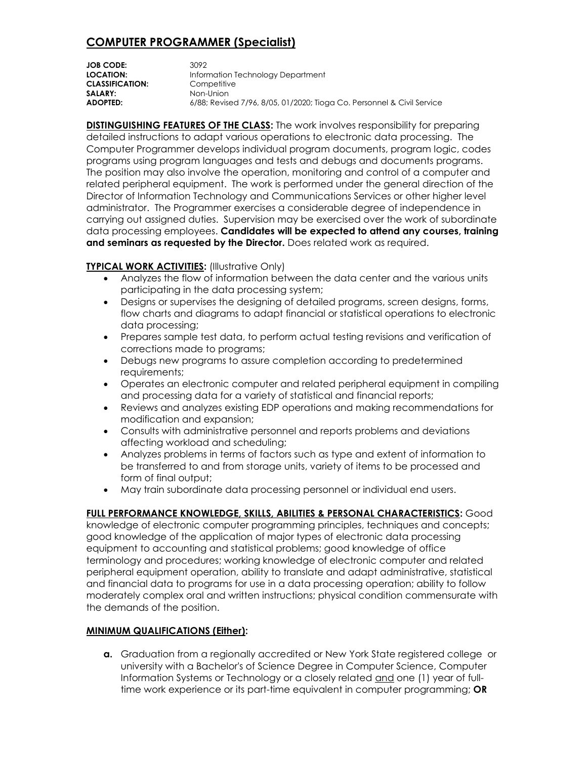# **COMPUTER PROGRAMMER (Specialist)**

| <b>JOB CODE:</b>       | 3092                                                                   |
|------------------------|------------------------------------------------------------------------|
| LOCATION:              | Information Technology Department                                      |
| <b>CLASSIFICATION:</b> | Competitive                                                            |
| <b>SALARY:</b>         | Non-Union                                                              |
| ADOPTED:               | 6/88; Revised 7/96, 8/05, 01/2020; Tioga Co. Personnel & Civil Service |

**DISTINGUISHING FEATURES OF THE CLASS:** The work involves responsibility for preparing detailed instructions to adapt various operations to electronic data processing. The Computer Programmer develops individual program documents, program logic, codes programs using program languages and tests and debugs and documents programs. The position may also involve the operation, monitoring and control of a computer and related peripheral equipment. The work is performed under the general direction of the Director of Information Technology and Communications Services or other higher level administrator. The Programmer exercises a considerable degree of independence in carrying out assigned duties. Supervision may be exercised over the work of subordinate data processing employees. **Candidates will be expected to attend any courses, training and seminars as requested by the Director.** Does related work as required.

#### **TYPICAL WORK ACTIVITIES:** (Illustrative Only)

- Analyzes the flow of information between the data center and the various units participating in the data processing system;
- Designs or supervises the designing of detailed programs, screen designs, forms, flow charts and diagrams to adapt financial or statistical operations to electronic data processing;
- Prepares sample test data, to perform actual testing revisions and verification of corrections made to programs;
- Debugs new programs to assure completion according to predetermined requirements;
- Operates an electronic computer and related peripheral equipment in compiling and processing data for a variety of statistical and financial reports;
- Reviews and analyzes existing EDP operations and making recommendations for modification and expansion;
- Consults with administrative personnel and reports problems and deviations affecting workload and scheduling;
- Analyzes problems in terms of factors such as type and extent of information to be transferred to and from storage units, variety of items to be processed and form of final output;
- May train subordinate data processing personnel or individual end users.

### **FULL PERFORMANCE KNOWLEDGE, SKILLS, ABILITIES & PERSONAL CHARACTERISTICS:** Good

knowledge of electronic computer programming principles, techniques and concepts; good knowledge of the application of major types of electronic data processing equipment to accounting and statistical problems; good knowledge of office terminology and procedures; working knowledge of electronic computer and related peripheral equipment operation, ability to translate and adapt administrative, statistical and financial data to programs for use in a data processing operation; ability to follow moderately complex oral and written instructions; physical condition commensurate with the demands of the position.

### **MINIMUM QUALIFICATIONS (Either):**

**a.** Graduation from a regionally accredited or New York State registered college or university with a Bachelor's of Science Degree in Computer Science, Computer Information Systems or Technology or a closely related and one (1) year of fulltime work experience or its part-time equivalent in computer programming; **OR**